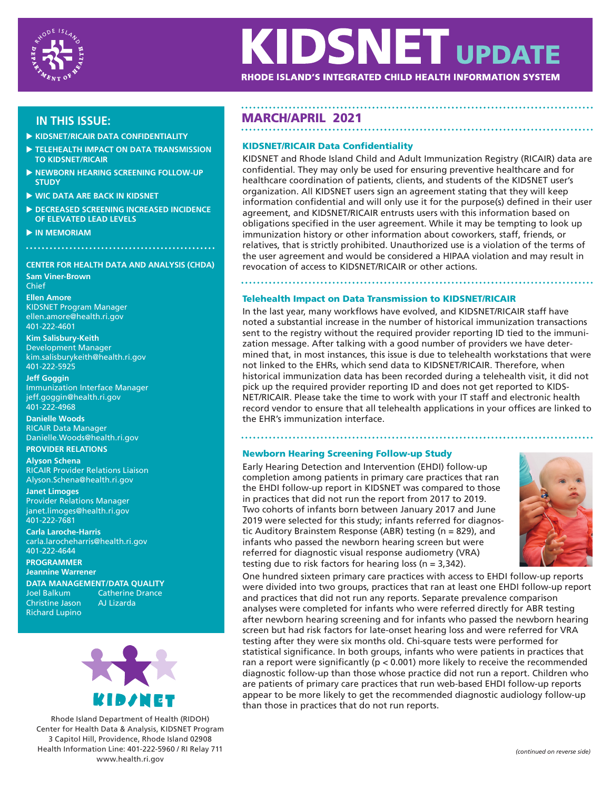

# **KIDSNET UPDATE**

RHODE ISLAND'S INTEGRATED CHILD HEALTH INFORMATION SYSTEM

- **KIDSNET/RICAIR DATA CONFIDENTIALITY**
- **TELEHEALTH IMPACT ON DATA TRANSMISSION TO KIDSNET/RICAIR**
- **NEWBORN HEARING SCREENING FOLLOW-UP STUDY**
- **WIC DATA ARE BACK IN KIDSNET**
- **DECREASED SCREENING INCREASED INCIDENCE OF ELEVATED LEAD LEVELS**
- **IN MEMORIAM**

# **CENTER FOR HEALTH DATA AND ANALYSIS (CHDA)**

**Sam Viner-Brown** Chief

**Ellen Amore** KIDSNET Program Manager ellen.amore@health.ri.gov 401-222-4601

# **Kim Salisbury-Keith**

Development Manager kim.salisburykeith@health.ri.gov 401-222-5925

## **Jeff Goggin**

Immunization Interface Manager jeff.goggin@health.ri.gov 401-222-4968

**Danielle Woods**  RICAIR Data Manager Danielle.Woods@health.ri.gov **PROVIDER RELATIONS**

**Alyson Schena** RICAIR Provider Relations Liaison Alyson.Schena@health.ri.gov

# **Janet Limoges**

Provider Relations Manager janet.limoges@health.ri.gov 401-222-7681

**Carla Laroche-Harris** carla.larocheharris@health.ri.gov 401-222-4644

**PROGRAMMER Jeannine Warrener**

**DATA MANAGEMENT/DATA QUALITY**

Christine Jason Richard Lupino Catherine Drance<br>AJ Lizarda



Rhode Island Department of Health (RIDOH) Center for Health Data & Analysis, KIDSNET Program 3 Capitol Hill, Providence, Rhode Island 02908 Health Information Line: 401-222-5960 / RI Relay 711 www.health.ri.gov

# **IN THIS ISSUE:** MARCH/APRIL 2021

# KIDSNET/RICAIR Data Confidentiality

KIDSNET and Rhode Island Child and Adult Immunization Registry (RICAIR) data are confidential. They may only be used for ensuring preventive healthcare and for healthcare coordination of patients, clients, and students of the KIDSNET user's organization. All KIDSNET users sign an agreement stating that they will keep information confidential and will only use it for the purpose(s) defined in their user agreement, and KIDSNET/RICAIR entrusts users with this information based on obligations specified in the user agreement. While it may be tempting to look up immunization history or other information about coworkers, staff, friends, or relatives, that is strictly prohibited. Unauthorized use is a violation of the terms of the user agreement and would be considered a HIPAA violation and may result in revocation of access to KIDSNET/RICAIR or other actions.

# Telehealth Impact on Data Transmission to KIDSNET/RICAIR

In the last year, many workflows have evolved, and KIDSNET/RICAIR staff have noted a substantial increase in the number of historical immunization transactions sent to the registry without the required provider reporting ID tied to the immunization message. After talking with a good number of providers we have determined that, in most instances, this issue is due to telehealth workstations that were not linked to the EHRs, which send data to KIDSNET/RICAIR. Therefore, when historical immunization data has been recorded during a telehealth visit, it did not pick up the required provider reporting ID and does not get reported to KIDS-NET/RICAIR. Please take the time to work with your IT staff and electronic health record vendor to ensure that all telehealth applications in your offices are linked to the EHR's immunization interface.

# Newborn Hearing Screening Follow-up Study

Early Hearing Detection and Intervention (EHDI) follow-up completion among patients in primary care practices that ran the EHDI follow-up report in KIDSNET was compared to those in practices that did not run the report from 2017 to 2019. Two cohorts of infants born between January 2017 and June 2019 were selected for this study; infants referred for diagnostic Auditory Brainstem Response (ABR) testing (n = 829), and infants who passed the newborn hearing screen but were referred for diagnostic visual response audiometry (VRA) testing due to risk factors for hearing loss (n = 3,342).



One hundred sixteen primary care practices with access to EHDI follow-up reports were divided into two groups, practices that ran at least one EHDI follow-up report and practices that did not run any reports. Separate prevalence comparison analyses were completed for infants who were referred directly for ABR testing after newborn hearing screening and for infants who passed the newborn hearing screen but had risk factors for late-onset hearing loss and were referred for VRA testing after they were six months old. Chi-square tests were performed for statistical significance. In both groups, infants who were patients in practices that ran a report were significantly ( $p < 0.001$ ) more likely to receive the recommended diagnostic follow-up than those whose practice did not run a report. Children who are patients of primary care practices that run web-based EHDI follow-up reports appear to be more likely to get the recommended diagnostic audiology follow-up than those in practices that do not run reports.